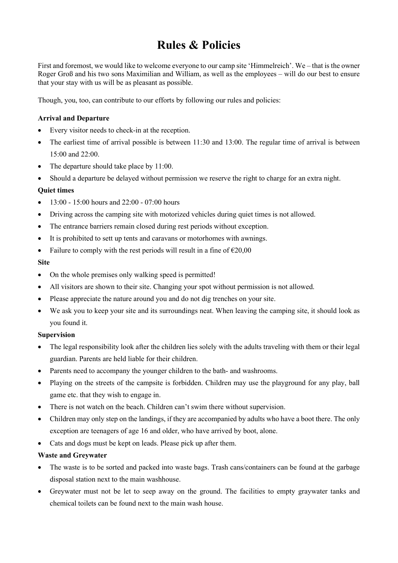# Rules & Policies

First and foremost, we would like to welcome everyone to our camp site 'Himmelreich'. We – that is the owner Roger Groß and his two sons Maximilian and William, as well as the employees – will do our best to ensure that your stay with us will be as pleasant as possible.

Though, you, too, can contribute to our efforts by following our rules and policies:

# Arrival and Departure

- Every visitor needs to check-in at the reception.
- The earliest time of arrival possible is between 11:30 and 13:00. The regular time of arrival is between 15:00 and 22:00.
- The departure should take place by 11:00.
- Should a departure be delayed without permission we reserve the right to charge for an extra night.

## Quiet times

- $\bullet$  13:00 15:00 hours and 22:00 07:00 hours
- Driving across the camping site with motorized vehicles during quiet times is not allowed.
- The entrance barriers remain closed during rest periods without exception.
- It is prohibited to sett up tents and caravans or motorhomes with awnings.
- Failure to comply with the rest periods will result in a fine of  $\epsilon$ 20,00

## Site

- On the whole premises only walking speed is permitted!
- All visitors are shown to their site. Changing your spot without permission is not allowed.
- Please appreciate the nature around you and do not dig trenches on your site.
- We ask you to keep your site and its surroundings neat. When leaving the camping site, it should look as you found it.

#### Supervision

- The legal responsibility look after the children lies solely with the adults traveling with them or their legal guardian. Parents are held liable for their children.
- Parents need to accompany the younger children to the bath- and washrooms.
- Playing on the streets of the campsite is forbidden. Children may use the playground for any play, ball game etc. that they wish to engage in.
- There is not watch on the beach. Children can't swim there without supervision.
- Children may only step on the landings, if they are accompanied by adults who have a boot there. The only exception are teenagers of age 16 and older, who have arrived by boot, alone.
- Cats and dogs must be kept on leads. Please pick up after them.

#### Waste and Greywater

- The waste is to be sorted and packed into waste bags. Trash cans/containers can be found at the garbage disposal station next to the main washhouse.
- Greywater must not be let to seep away on the ground. The facilities to empty graywater tanks and chemical toilets can be found next to the main wash house.